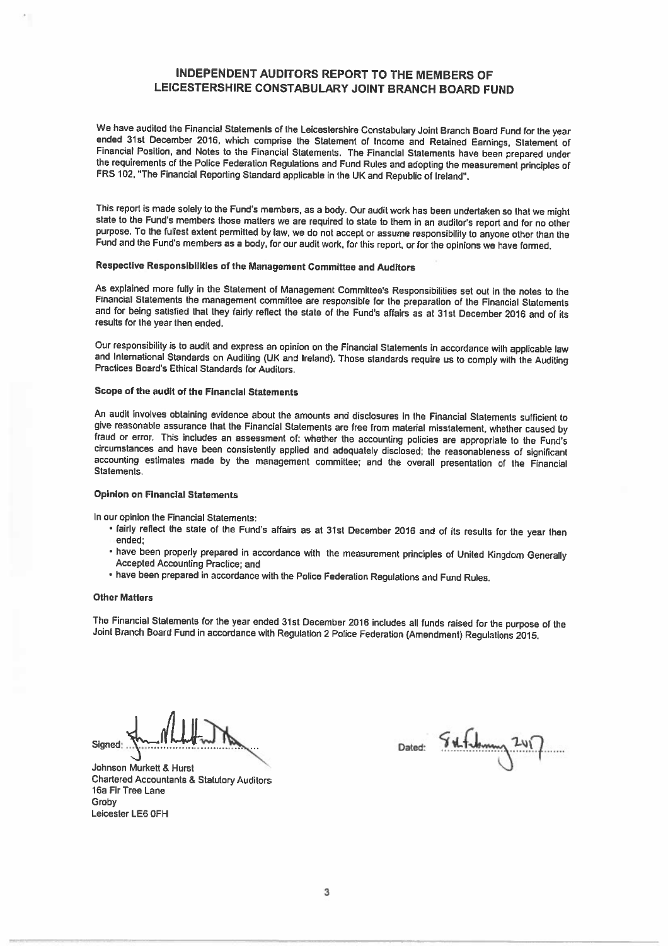### INDEPENDENT AUDITORS REPORT TO THE MEMBERS OF LEICESTERSHIRE CONSTABULARY JOINT BRANCH BOARD FUND

We have audited the Financial Statements of the Leicestershire Constabulary Joint Branch Board Fund for the year<br>ended 31st December 2016, which comprise the Statement of Income and Retained Earnings, Statement of<br>Financia FRS 102, 'The Financial Reporting Standard applicable in the UK and Republic of Ireland".

This report is made solely to the Fund's members, as <sup>a</sup> body. Our audit work has been undertaken so that we might state to the Fund's members those matters we are required to state to them in an auditor's report and for no other purpose. To the fullest extent permitted bylaw, we do not accept or assume responsibility to anyone other than the Fund and the Fund's members as <sup>a</sup> body, for our audit work, for this report, or for the opinions we have formed.

### Respective Responsibilities of the Management Committee and Auditors

As explained more fully in the Statement of Management Committee's Responsibilities set out in the notes to the Financial Statements the management committee are responsible for the preparation of the Financial Statements and for being satisfied that they fairly reflect the state of the Fund's affairs as at 31st December <sup>2016</sup> and of its results for the year then ended.

Our responsibility is to audit and express an opinion on the Financial Statements in accordance with applicable law<br>and International Standards on Auditing (UK and Ireland). Those standards require us to comply with the Au

### Scope of the audit of the Financial Statements

An audit involves obtaining evidence about the amounts and disclosures in the Financial Statements sufficient to<br>give reasonable assurance that the Financial Statements are free from material misstatement, whether caused b fraud or error. This includes an assessment of: whether the accounting policies are appropriate to the Fund's<br>circumstances and have been consistently applied and adequately disclosed; the reasonableness of significant<br>acc

#### Opinion on Financial Statements

In our opinion the Financial Statements:

- fairly reflect the state of the Fund's affairs as at 31st December 2016 and of its results for the year then<br>ended;
- have been properly prepared in accordance with the measurement principles of United Kingdom Generally Accepted Accounting Practice; and
- have been prepared in accordance with the Police Federation Regulations and Fund Rules.

#### Other Matters

The Financial Statements for the year ended 31st December <sup>2016</sup> includes all funds raised for the purpose of the Joint Branch Board Fund in accordance with Regulation <sup>2</sup> Police Federation (Amendment) Regulations 2015.

Signed: 4. Matter May Dated:

Johnson Murkett & Hurst Chartered Accountants & Statutory Auditors 16a Fir Tree Lane Groby Leicester LE6 OFH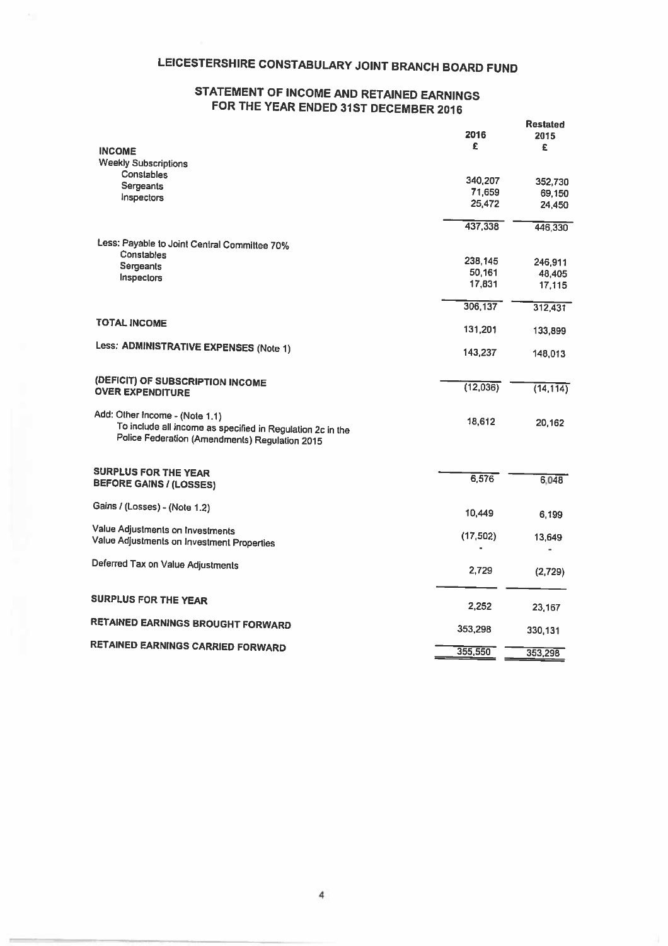# LEICESTERSHIRE CONSTABULARY JOINT BRANCH BOARD FUND

## STATEMENT OF INCOME AND RETAINED EARNINGS FOR THE YEAR ENDED 31ST DECEMBER <sup>2016</sup>

|                                                                                                              |           | Restated          |
|--------------------------------------------------------------------------------------------------------------|-----------|-------------------|
|                                                                                                              | 2016<br>£ | 2015              |
| <b>INCOME</b>                                                                                                |           | £                 |
| <b>Weekly Subscriptions</b>                                                                                  |           |                   |
| Constables                                                                                                   | 340,207   | 352,730           |
| Sergeants                                                                                                    | 71,659    | 69,150            |
| Inspectors                                                                                                   | 25,472    | 24,450            |
|                                                                                                              | 437,338   | 446,330           |
| Less: Payable to Joint Central Committee 70%                                                                 |           |                   |
| <b>Constables</b>                                                                                            | 238,145   |                   |
| Sergeants                                                                                                    | 50,161    | 246,911<br>48,405 |
| Inspectors                                                                                                   | 17,831    | 17,115            |
|                                                                                                              | 306,137   | 312,431           |
| <b>TOTAL INCOME</b>                                                                                          | 131,201   |                   |
|                                                                                                              |           | 133,899           |
| Less: ADMINISTRATIVE EXPENSES (Note 1)                                                                       | 143,237   | 148,013           |
| (DEFICIT) OF SUBSCRIPTION INCOME                                                                             | (12,036)  |                   |
| <b>OVER EXPENDITURE</b>                                                                                      |           | (14, 114)         |
| Add: Other Income - (Note 1.1)                                                                               | 18,612    |                   |
| To include all income as specified in Regulation 2c in the<br>Police Federation (Amendments) Regulation 2015 |           | 20,162            |
|                                                                                                              |           |                   |
| <b>SURPLUS FOR THE YEAR</b><br><b>BEFORE GAINS / (LOSSES)</b>                                                | 6,576     | 6,048             |
| Gains / (Losses) - (Note 1.2)                                                                                |           |                   |
|                                                                                                              | 10,449    | 6,199             |
| Value Adjustments on Investments<br>Value Adjustments on Investment Properties                               | (17,502)  | 13,649            |
|                                                                                                              |           |                   |
| Deferred Tax on Value Adjustments                                                                            | 2,729     | (2,729)           |
| <b>SURPLUS FOR THE YEAR</b>                                                                                  |           |                   |
|                                                                                                              | 2,252     | 23,167            |
| RETAINED EARNINGS BROUGHT FORWARD                                                                            | 353,298   | 330,131           |
| RETAINED EARNINGS CARRIED FORWARD                                                                            | 355,550   |                   |
|                                                                                                              |           | 353.298           |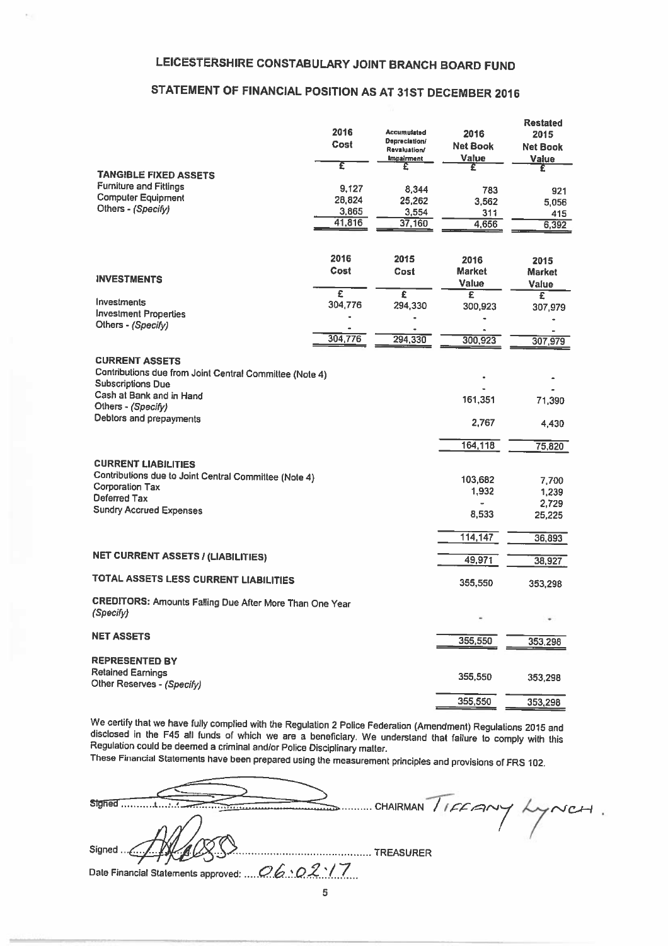## STATEMENT OF FINANCIAL POSITION AS AT 31ST DECEMBER <sup>2016</sup>

|                                                                                                                                          | 2016<br>Cost | <b>Accumulated</b><br>Depreciation/<br><b>Revaluation/</b><br><b>Impairment</b> | 2016<br><b>Net Book</b><br>Value | <b>Restated</b><br>2015<br>Net Book<br>Value |
|------------------------------------------------------------------------------------------------------------------------------------------|--------------|---------------------------------------------------------------------------------|----------------------------------|----------------------------------------------|
|                                                                                                                                          | Έ            |                                                                                 | £                                |                                              |
| <b>TANGIBLE FIXED ASSETS</b>                                                                                                             |              |                                                                                 |                                  |                                              |
| <b>Furniture and Fittings</b>                                                                                                            | 9,127        | 8,344                                                                           | 783                              | 921                                          |
| <b>Computer Equipment</b>                                                                                                                | 28,824       | 25,262                                                                          | 3,562                            | 5,056                                        |
| Others - (Specify)                                                                                                                       | 3,865        | 3,554                                                                           | 311                              | 415                                          |
|                                                                                                                                          | 41,816       | 37,160                                                                          | 4,656                            | 6,392                                        |
|                                                                                                                                          |              |                                                                                 |                                  |                                              |
|                                                                                                                                          |              |                                                                                 |                                  |                                              |
|                                                                                                                                          | 2016         | 2015                                                                            | 2016                             | 2015                                         |
| <b>INVESTMENTS</b>                                                                                                                       | Cost         | Cost                                                                            | <b>Market</b>                    | <b>Market</b>                                |
|                                                                                                                                          |              |                                                                                 | <b>Value</b>                     | Value                                        |
|                                                                                                                                          | £            | £                                                                               | $\overline{\epsilon}$            | $\overline{\mathbf{f}}$                      |
| Investments                                                                                                                              | 304,776      | 294,330                                                                         | 300,923                          | 307,979                                      |
| <b>Investment Properties</b>                                                                                                             |              |                                                                                 |                                  |                                              |
| Others - (Specify)                                                                                                                       |              |                                                                                 |                                  |                                              |
|                                                                                                                                          | 304,776      | 294,330                                                                         | 300,923                          | 307,979                                      |
| <b>CURRENT ASSETS</b><br>Contributions due from Joint Central Committee (Note 4)<br><b>Subscriptions Due</b><br>Cash at Bank and in Hand |              |                                                                                 |                                  |                                              |
| Others - (Specify)                                                                                                                       |              |                                                                                 | 161,351                          | 71,390                                       |
| Debtors and prepayments                                                                                                                  |              |                                                                                 | 2,767                            | 4,430                                        |
|                                                                                                                                          |              |                                                                                 | 164,118                          | 75,820                                       |
| <b>CURRENT LIABILITIES</b><br>Contributions due to Joint Central Committee (Note 4)                                                      |              |                                                                                 |                                  |                                              |
| <b>Corporation Tax</b>                                                                                                                   |              |                                                                                 | 103,682                          | 7,700                                        |
| Deferred Tax                                                                                                                             |              |                                                                                 | 1,932                            | 1,239                                        |
| <b>Sundry Accrued Expenses</b>                                                                                                           |              |                                                                                 |                                  | 2,729                                        |
|                                                                                                                                          |              |                                                                                 | 8,533                            | 25,225                                       |
|                                                                                                                                          |              |                                                                                 | 114,147                          |                                              |
|                                                                                                                                          |              |                                                                                 |                                  | 36,893                                       |
| <b>NET CURRENT ASSETS / (LIABILITIES)</b>                                                                                                |              |                                                                                 | 49,971                           | 38,927                                       |
| TOTAL ASSETS LESS CURRENT LIABILITIES                                                                                                    |              |                                                                                 | 355,550                          | 353,298                                      |
| CREDITORS: Amounts Falling Due After More Than One Year<br>(Specify)                                                                     |              |                                                                                 |                                  | ٠                                            |
| <b>NET ASSETS</b>                                                                                                                        |              |                                                                                 | 355,550                          | 353,298                                      |
| <b>REPRESENTED BY</b><br><b>Retained Eamings</b>                                                                                         |              |                                                                                 |                                  |                                              |
| Other Reserves - (Specify)                                                                                                               |              |                                                                                 | 355,550                          | 353,298                                      |
|                                                                                                                                          |              |                                                                                 | 355,550                          | 353,298                                      |

We certify that we have fully complied with the Regulation 2 Police Federation (Amendment) Regulations 2015 and<br>disclosed in the F45 all funds of which we are a beneficiary. We understand that failure to comply with this<br>R

These Financial Statements have been prepared using the measurement principtes and provisions of FRS 102.

| CHAIRMAN / IFFANY LYNCH.                      |
|-----------------------------------------------|
|                                               |
| Signed<br>TREASURER                           |
| Date Financial Statements approved:  O6:02:17 |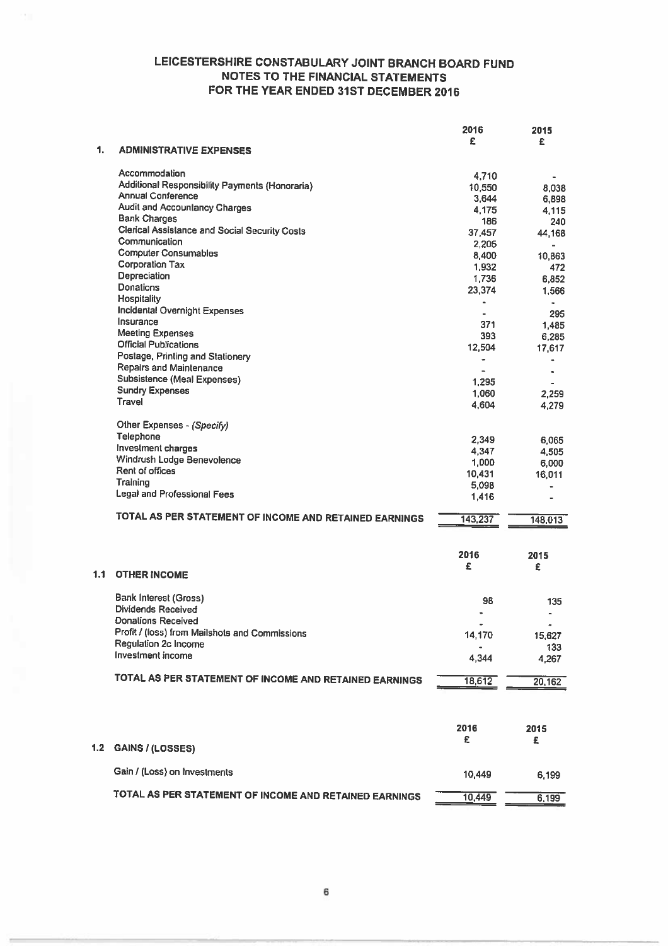|     |                                                        | 2016    | 2015           |
|-----|--------------------------------------------------------|---------|----------------|
| 1.  | <b>ADMINISTRATIVE EXPENSES</b>                         | £       | £              |
|     | Accommodation                                          | 4.710   |                |
|     | Additional Responsibility Payments (Honoraria)         | 10,550  | 8,038          |
|     | <b>Annual Conference</b>                               | 3,644   | 6,898          |
|     | <b>Audit and Accountancy Charges</b>                   | 4,175   | 4,115          |
|     | <b>Bank Charges</b>                                    | 186     | 240            |
|     | <b>Clerical Assistance and Social Security Costs</b>   | 37,457  | 44,168         |
|     | Communication                                          | 2,205   |                |
|     | <b>Computer Consumables</b>                            | 8,400   | 10,863         |
|     | <b>Corporation Tax</b>                                 | 1,932   | 472            |
|     | Depreciation                                           | 1,736   | 6,852          |
|     | <b>Donations</b>                                       | 23,374  | 1.566          |
|     | Hospitality                                            | ä       | ٠              |
|     | Incidental Overnight Expenses                          |         | 295            |
|     | Insurance                                              | 371     | 1,485          |
|     | <b>Meeting Expenses</b>                                | 393     | 6,285          |
|     | <b>Official Publications</b>                           | 12,504  | 17,617         |
|     | Postage, Printing and Stationery                       | ٠       | ٠              |
|     | Repairs and Maintenance                                |         | $\blacksquare$ |
|     | Subsistence (Meal Expenses)                            | 1,295   |                |
|     | <b>Sundry Expenses</b>                                 | 1,060   | 2,259          |
|     | Travel                                                 | 4.604   | 4,279          |
|     | Other Expenses - (Specify)                             |         |                |
|     | Telephone                                              | 2,349   | 6,065          |
|     | Investment charges                                     | 4,347   | 4.505          |
|     | Windrush Lodge Benevolence                             | 1,000   | 6,000          |
|     | Rent of offices                                        | 10,431  | 16,011         |
|     | Training                                               | 5,098   | $\blacksquare$ |
|     | Legal and Professional Fees                            | 1.416   |                |
|     | TOTAL AS PER STATEMENT OF INCOME AND RETAINED EARNINGS | 143,237 | 148,013        |
|     |                                                        | 2016    | 2015           |
| 1.1 | <b>OTHER INCOME</b>                                    | £       | £              |
|     | <b>Bank Interest (Gross)</b>                           |         |                |
|     | Dividends Received                                     | 98      | 135            |
|     | Donations Received                                     |         | ٠              |
|     | Profit / (loss) from Mailshots and Commissions         | 14,170  | 15,627         |
|     | Regulation 2c Income                                   |         | 133            |
|     | Investment income                                      | 4,344   | 4,267          |
|     | TOTAL AS PER STATEMENT OF INCOME AND RETAINED EARNINGS | 18,612  | 20,162         |
|     |                                                        |         |                |
|     |                                                        | 2016    | 2015           |
|     |                                                        | £       | £              |
| 1.2 | <b>GAINS / (LOSSES)</b>                                |         |                |
|     | Gain / (Loss) on Investments                           | 10,449  | 6,199          |
|     | TOTAL AS PER STATEMENT OF INCOME AND RETAINED EARNINGS | 10,449  | 6.199          |
|     |                                                        |         |                |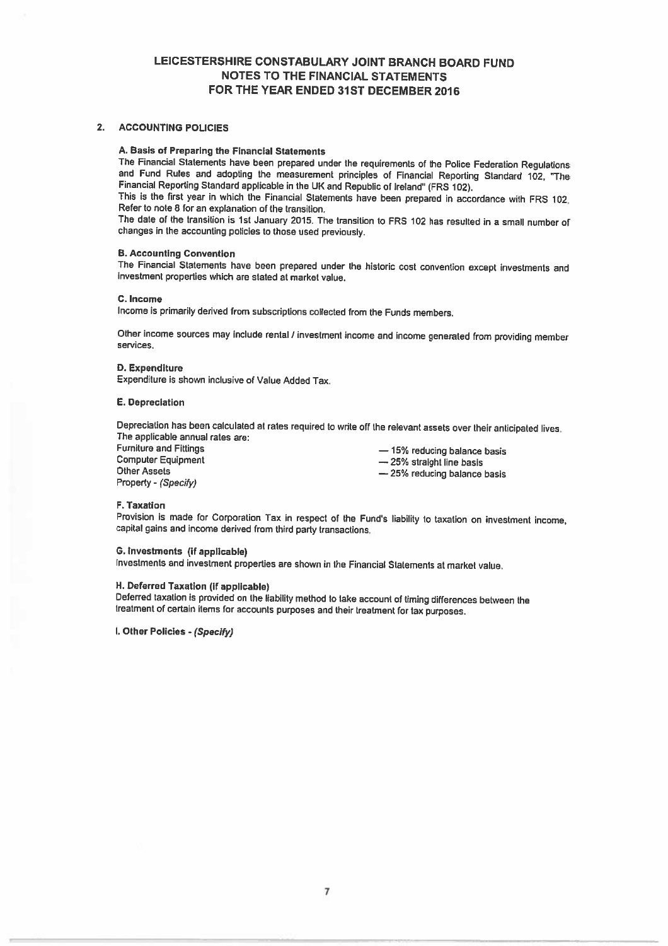### 2. ACCOUNTING POLICIES

#### A. Basis of Preparing the Financial Statements

The Financial Statements have been prepared under the requirements of the Police Federation Regulations and Fund Rules and adopting the measurement principles of Financial Reporting Standard 102, The Financial Reporting Standard applicable in the UK and Republic of Ireland' (FRS 102).

This is the first year in which the Financial Statements have been prepared in accordance wilh FRS 102. Refer to note S for an explanation of the transition.

The date of the transition is 1st January 2015. The transition to FRS <sup>102</sup> has resulted in <sup>a</sup> small number of changes in the accounting policies to those used previously.

### B. Accounting Convention

The Financial Statements have been prepared under the historic cost convention except investments and investment properties which are stated at market value.

#### C. Income

Income is primarily derived from subscriptions collected from the Funds members.

Other income sources may include rental / investment income and income generated from providing member services.

### 0. Expenditure

Expenditure is shown inclusive of Value Added Tax,

### E. Depreciation

Depreciation has been calculated at rates required to write off the relevant assets over their anticipated lives. The applicable annual rates are:

Other Assets Other Assets<br>
Property - (Specify)<br>  $-25%$  reducing balance basis<br>
Property - (Specify)

Furniture and Fittings<br>
Computer Equipment<br>  $\rightarrow$  25% straight line basis<br>  $\rightarrow$  25% straight line basis  $-25%$  straight line basis

### F. Taxation

Provision is made for Corporation Tax in respect of the Fund's liability to taxation on investment income, capital gains and income derived from third party transactions.

#### C. Investments (if applicable)

Investments and investment properties are shown in the Financial Statements at market value.

### H. Deferred Taxation (if applicable)

Deferred taxation is provided on the liability method to lake account of timing differences between the treatment of certain items for accounts purposes and their treatment for tax purposes.

I. Other Policies - (Specify)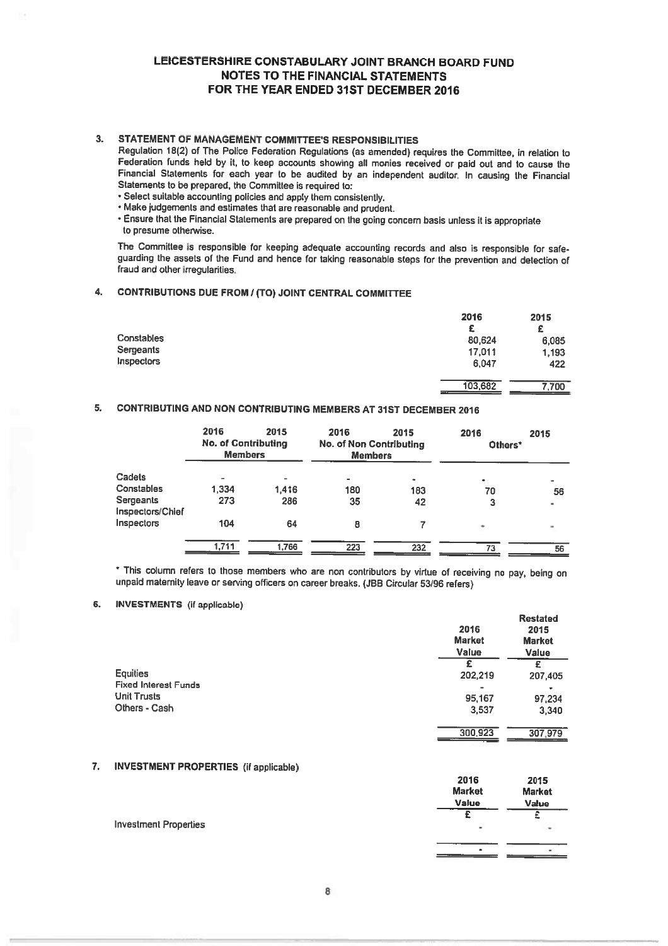### 3. STATEMENT OF MANAGEMENT COMMITTEE'S RESPONSIBILITIES

Regulation 18(2) of The Police Federation Regulations (as amended) requires the Committee, in relation to Federation funds held by it, to keep accounts showing all monies received or paid out and to cause the Financial Statements for each year to be audited by an independent auditor. In causing the Financial Statements to be prepared, the Committee is required to:

- Select suitable accounting policies and apply them consistently.
- Make judgements and estimates that are reasonable and prudent.
- Ensure that the Financial Statements are prepared on the going concern basis unless it is appropriate to presume otherwise.

The Committee is responsible for keeping adequate accounting records and also is responsible for safe guarding the assets of the Fund and hence for taking reasonable steps for the prevention and detection of fraud and other irregularities.

### 4. CONTRIBUTIONS DUE FROM / (TO) JOINT CENTRAL COMMITTEE

|            | 2016    | 2015  |
|------------|---------|-------|
|            | £       | £     |
| Constables | 80,624  | 6,085 |
| Sergeants  | 17,011  | 1,193 |
| Inspectors | 6,047   | 422   |
|            | 103,682 | 7,700 |

### 5. CONTRIBUTING AND NON CONTRIBUTING MEMBERS AT 31ST DECEMBER 2016

|                               | 2016<br><b>No. of Contributing</b><br><b>Members</b> | 2015  | 2016<br><b>No. of Non Contributing</b><br><b>Members</b> | 2015      | 2016<br>Others* | 2015 |
|-------------------------------|------------------------------------------------------|-------|----------------------------------------------------------|-----------|-----------------|------|
| Cadets                        | -                                                    | -     | ٠                                                        | $\bullet$ | $\bullet$       |      |
| Constables                    | 1,334                                                | 1,416 | 180                                                      | 183       | 70              | 56   |
| Sergeants<br>Inspectors/Chief | 273                                                  | 286   | 35                                                       | 42        | з               | ä.   |
| Inspectors                    | 104                                                  | 64    | 8                                                        |           | ٠               |      |
|                               | 1.711                                                | 1.766 | 223                                                      | 232       | 73              | 56   |

\* This column refers to those members who are non contributors by virtue of receiving no pay, being on unpaid matemily leave or serving officers on career breaks. (JBB Circular 53/98 refers)

### 6. INVESTMENTS (if applicable)

|                                         | 2016<br><b>Market</b><br>Value | <b>Restated</b><br>2015<br><b>Market</b><br>Value |
|-----------------------------------------|--------------------------------|---------------------------------------------------|
| Equities<br><b>Fixed Interest Funds</b> | 202,219                        | £<br>207,405                                      |
| <b>Unit Trusts</b><br>Others - Cash     | 95,167<br>3,537                | ۰<br>97,234<br>3,340                              |
|                                         | 300,923                        | 307.979                                           |

### 7. INVESTMENT PROPERTIES (if applicable)

|                              | 2016<br><b>Market</b><br><b>Value</b> | 2015<br><b>Market</b><br>Value |
|------------------------------|---------------------------------------|--------------------------------|
| <b>Investment Properties</b> | ۰                                     | ٠                              |
|                              |                                       |                                |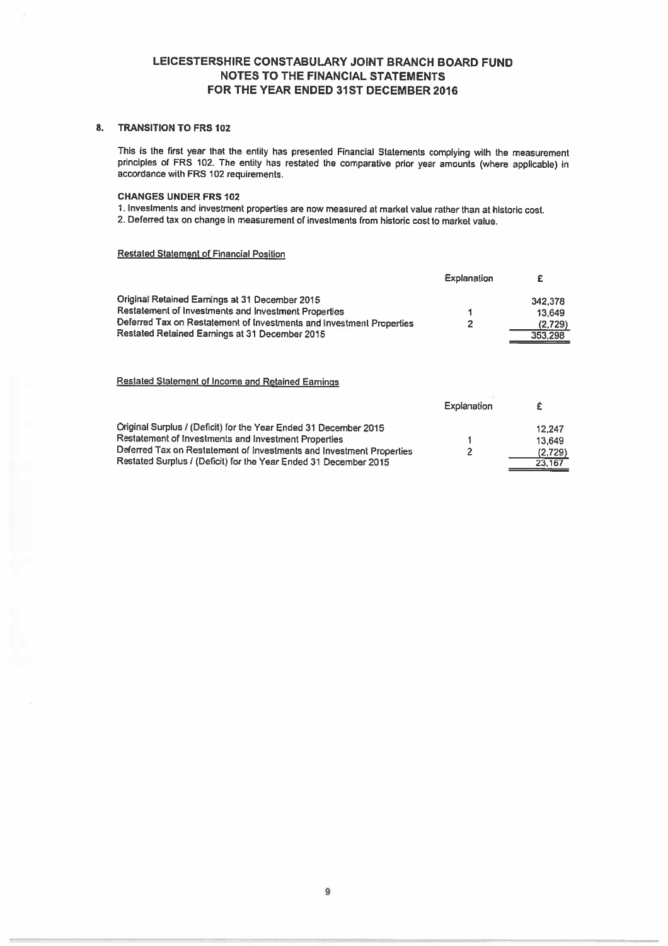### B. TRANSITION To FRS 102

This is the first year that the entity has presented Financial Statements complying with the measurement principles of FRS 102. The entity has restated the comparative prior year amounts (where applicable) in accordance with FRS 102 requirements.

### CHANGES UNDER FRS 102

1. Investments and investment properties are now measured at market value rather than at historic cost.

2. Deferred tax on change in measurement of investments from historic cost to market value.

### Restated Statement of Financial Position

|                                                                      | Explanation | £       |
|----------------------------------------------------------------------|-------------|---------|
| Original Retained Earnings at 31 December 2015                       |             | 342.378 |
| Restatement of Investments and Investment Properties                 |             | 13.649  |
| Deferred Tax on Restatement of Investments and Investment Properties | 2           | (2.729) |
| Restated Retained Earnings at 31 December 2015                       |             | 353,298 |
|                                                                      |             |         |
|                                                                      |             |         |
|                                                                      |             |         |

### Restated Statement of Income and Retained Earnings

|                                                                      | Explanation |         |
|----------------------------------------------------------------------|-------------|---------|
| Original Surplus / (Deficit) for the Year Ended 31 December 2015     |             | 12.247  |
| Restatement of Investments and Investment Properties                 |             | 13.649  |
| Deferred Tax on Restatement of Investments and Investment Properties |             | (2.729) |
| Restated Surplus / (Deficit) for the Year Ended 31 December 2015     |             | 23.167  |